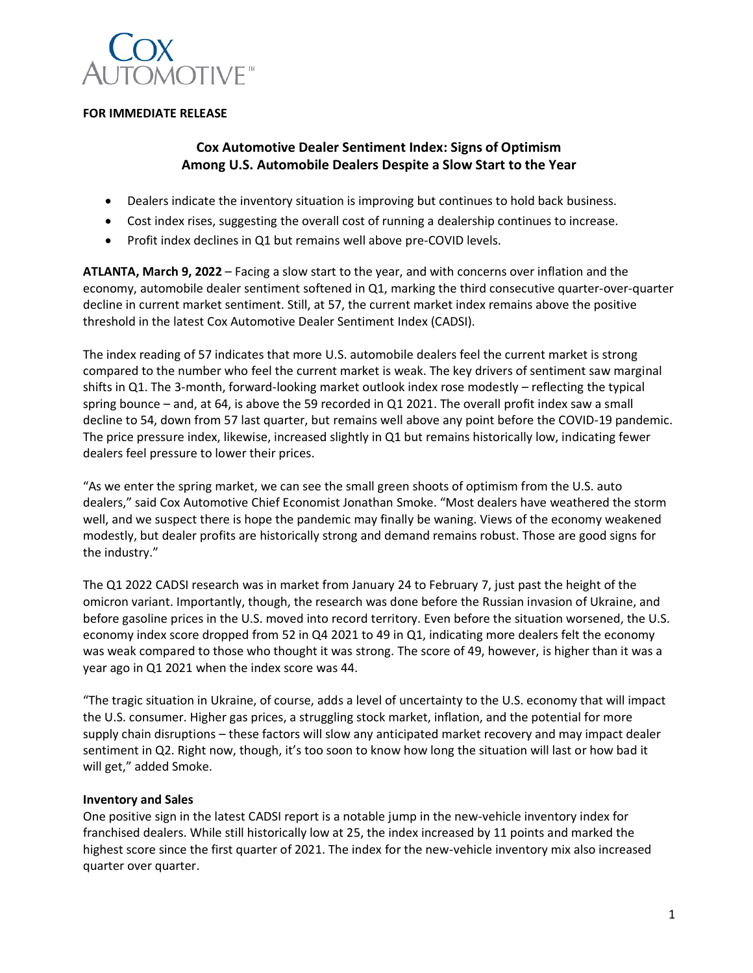

### **FOR IMMEDIATE RELEASE**

# **Cox Automotive Dealer Sentiment Index: Signs of Optimism Among U.S. Automobile Dealers Despite a Slow Start to the Year**

- Dealers indicate the inventory situation is improving but continues to hold back business.
- Cost index rises, suggesting the overall cost of running a dealership continues to increase.
- Profit index declines in Q1 but remains well above pre-COVID levels.

**ATLANTA, March 9, 2022** – Facing a slow start to the year, and with concerns over inflation and the economy, automobile dealer sentiment softened in Q1, marking the third consecutive quarter-over-quarter decline in current market sentiment. Still, at 57, the current market index remains above the positive threshold in the latest Cox Automotive Dealer Sentiment Index (CADSI).

The index reading of 57 indicates that more U.S. automobile dealers feel the current market is strong compared to the number who feel the current market is weak. The key drivers of sentiment saw marginal shifts in Q1. The 3-month, forward-looking market outlook index rose modestly – reflecting the typical spring bounce – and, at 64, is above the 59 recorded in Q1 2021. The overall profit index saw a small decline to 54, down from 57 last quarter, but remains well above any point before the COVID-19 pandemic. The price pressure index, likewise, increased slightly in Q1 but remains historically low, indicating fewer dealers feel pressure to lower their prices.

"As we enter the spring market, we can see the small green shoots of optimism from the U.S. auto dealers," said Cox Automotive Chief Economist Jonathan Smoke. "Most dealers have weathered the storm well, and we suspect there is hope the pandemic may finally be waning. Views of the economy weakened modestly, but dealer profits are historically strong and demand remains robust. Those are good signs for the industry."

The Q1 2022 CADSI research was in market from January 24 to February 7, just past the height of the omicron variant. Importantly, though, the research was done before the Russian invasion of Ukraine, and before gasoline prices in the U.S. moved into record territory. Even before the situation worsened, the U.S. economy index score dropped from 52 in Q4 2021 to 49 in Q1, indicating more dealers felt the economy was weak compared to those who thought it was strong. The score of 49, however, is higher than it was a year ago in Q1 2021 when the index score was 44.

"The tragic situation in Ukraine, of course, adds a level of uncertainty to the U.S. economy that will impact the U.S. consumer. Higher gas prices, a struggling stock market, inflation, and the potential for more supply chain disruptions – these factors will slow any anticipated market recovery and may impact dealer sentiment in Q2. Right now, though, it's too soon to know how long the situation will last or how bad it will get," added Smoke.

### **Inventory and Sales**

One positive sign in the latest CADSI report is a notable jump in the new-vehicle inventory index for franchised dealers. While still historically low at 25, the index increased by 11 points and marked the highest score since the first quarter of 2021. The index for the new-vehicle inventory mix also increased quarter over quarter.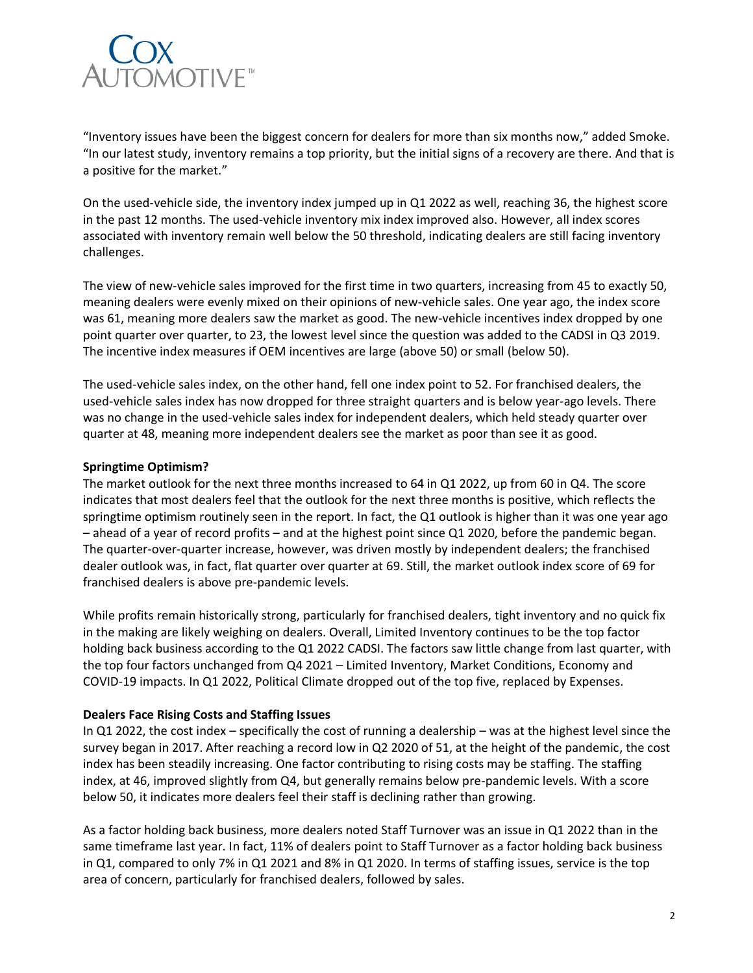

"Inventory issues have been the biggest concern for dealers for more than six months now," added Smoke. "In our latest study, inventory remains a top priority, but the initial signs of a recovery are there. And that is a positive for the market."

On the used-vehicle side, the inventory index jumped up in Q1 2022 as well, reaching 36, the highest score in the past 12 months. The used-vehicle inventory mix index improved also. However, all index scores associated with inventory remain well below the 50 threshold, indicating dealers are still facing inventory challenges.

The view of new-vehicle sales improved for the first time in two quarters, increasing from 45 to exactly 50, meaning dealers were evenly mixed on their opinions of new-vehicle sales. One year ago, the index score was 61, meaning more dealers saw the market as good. The new-vehicle incentives index dropped by one point quarter over quarter, to 23, the lowest level since the question was added to the CADSI in Q3 2019. The incentive index measures if OEM incentives are large (above 50) or small (below 50).

The used-vehicle sales index, on the other hand, fell one index point to 52. For franchised dealers, the used-vehicle sales index has now dropped for three straight quarters and is below year-ago levels. There was no change in the used-vehicle sales index for independent dealers, which held steady quarter over quarter at 48, meaning more independent dealers see the market as poor than see it as good.

### **Springtime Optimism?**

The market outlook for the next three months increased to 64 in Q1 2022, up from 60 in Q4. The score indicates that most dealers feel that the outlook for the next three months is positive, which reflects the springtime optimism routinely seen in the report. In fact, the Q1 outlook is higher than it was one year ago – ahead of a year of record profits – and at the highest point since Q1 2020, before the pandemic began. The quarter-over-quarter increase, however, was driven mostly by independent dealers; the franchised dealer outlook was, in fact, flat quarter over quarter at 69. Still, the market outlook index score of 69 for franchised dealers is above pre-pandemic levels.

While profits remain historically strong, particularly for franchised dealers, tight inventory and no quick fix in the making are likely weighing on dealers. Overall, Limited Inventory continues to be the top factor holding back business according to the Q1 2022 CADSI. The factors saw little change from last quarter, with the top four factors unchanged from Q4 2021 – Limited Inventory, Market Conditions, Economy and COVID-19 impacts. In Q1 2022, Political Climate dropped out of the top five, replaced by Expenses.

### **Dealers Face Rising Costs and Staffing Issues**

In Q1 2022, the cost index – specifically the cost of running a dealership – was at the highest level since the survey began in 2017. After reaching a record low in Q2 2020 of 51, at the height of the pandemic, the cost index has been steadily increasing. One factor contributing to rising costs may be staffing. The staffing index, at 46, improved slightly from Q4, but generally remains below pre-pandemic levels. With a score below 50, it indicates more dealers feel their staff is declining rather than growing.

As a factor holding back business, more dealers noted Staff Turnover was an issue in Q1 2022 than in the same timeframe last year. In fact, 11% of dealers point to Staff Turnover as a factor holding back business in Q1, compared to only 7% in Q1 2021 and 8% in Q1 2020. In terms of staffing issues, service is the top area of concern, particularly for franchised dealers, followed by sales.